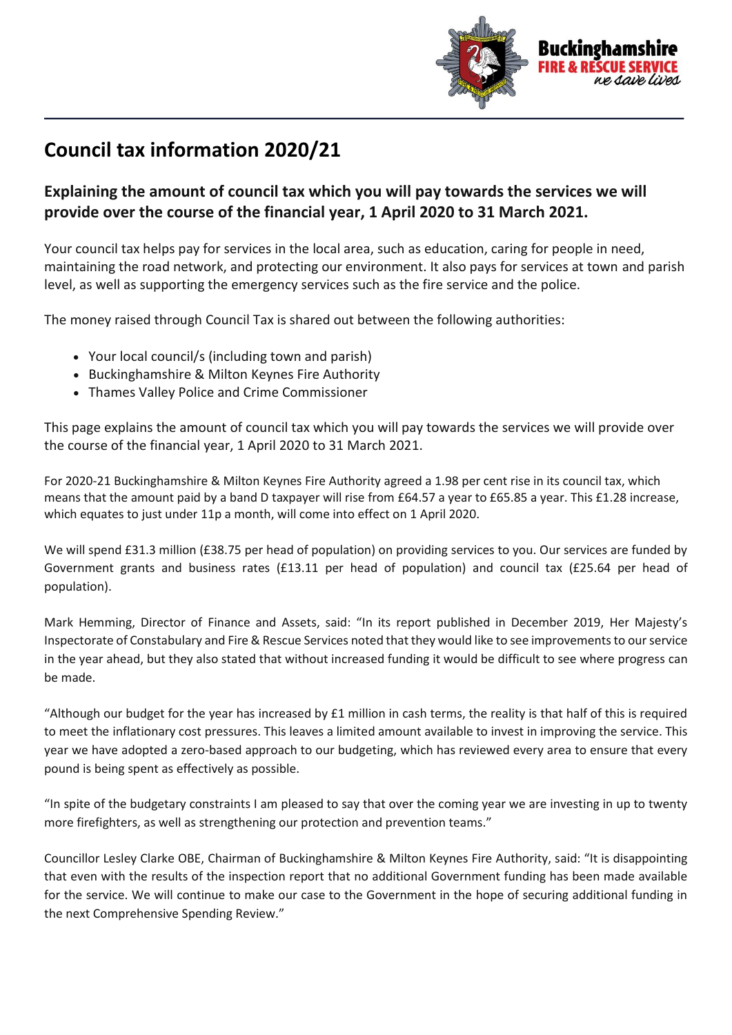

## **Council tax information 2020/21**

## **Explaining the amount of council tax which you will pay towards the services we will provide over the course of the financial year, 1 April 2020 to 31 March 2021.**

Your council tax helps pay for services in the local area, such as education, caring for people in need, maintaining the road network, and protecting our environment. It also pays for services at town and parish level, as well as supporting the emergency services such as the fire service and the police.

The money raised through Council Tax is shared out between the following authorities:

- Your local council/s (including town and parish)
- Buckinghamshire & Milton Keynes Fire Authority
- Thames Valley Police and Crime Commissioner

This page explains the amount of council tax which you will pay towards the services we will provide over the course of the financial year, 1 April 2020 to 31 March 2021.

For 2020-21 Buckinghamshire & Milton Keynes Fire Authority agreed a 1.98 per cent rise in its council tax, which means that the amount paid by a band D taxpayer will rise from £64.57 a year to £65.85 a year. This £1.28 increase, which equates to just under 11p a month, will come into effect on 1 April 2020.

We will spend £31.3 million (£38.75 per head of population) on providing services to you. Our services are funded by Government grants and business rates (£13.11 per head of population) and council tax (£25.64 per head of population).

Mark Hemming, Director of Finance and Assets, said: "In its report published in December 2019, Her Majesty's Inspectorate of Constabulary and Fire & Rescue Services noted that they would like to see improvements to our service in the year ahead, but they also stated that without increased funding it would be difficult to see where progress can be made.

"Although our budget for the year has increased by  $£1$  million in cash terms, the reality is that half of this is required to meet the inflationary cost pressures. This leaves a limited amount available to invest in improving the service. This year we have adopted a zero-based approach to our budgeting, which has reviewed every area to ensure that every pound is being spent as effectively as possible.

"In spite of the budgetary constraints I am pleased to say that over the coming year we are investing in up to twenty more firefighters, as well as strengthening our protection and prevention teams."

Councillor Lesley Clarke OBE, Chairman of Buckinghamshire & Milton Keynes Fire Authority, said: "It is disappointing that even with the results of the inspection report that no additional Government funding has been made available for the service. We will continue to make our case to the Government in the hope of securing additional funding in the next Comprehensive Spending Review."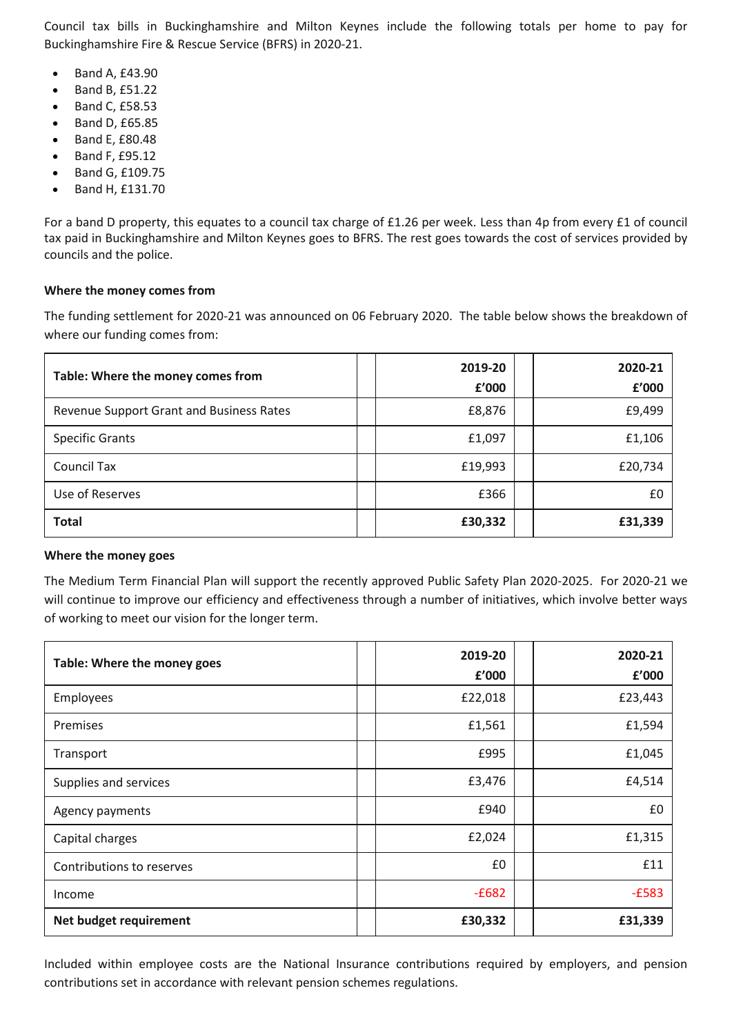Council tax bills in Buckinghamshire and Milton Keynes include the following totals per home to pay for Buckinghamshire Fire & Rescue Service (BFRS) in 2020-21.

- Band A, £43.90
- Band B, £51.22
- Band C, £58.53
- Band D, £65.85
- Band E, £80.48
- Band F, £95.12
- Band G, £109.75
- Band H, £131.70

For a band D property, this equates to a council tax charge of £1.26 per week. Less than 4p from every £1 of council tax paid in Buckinghamshire and Milton Keynes goes to BFRS. The rest goes towards the cost of services provided by councils and the police.

## **Where the money comes from**

The funding settlement for 2020-21 was announced on 06 February 2020. The table below shows the breakdown of where our funding comes from:

| Table: Where the money comes from        | 2019-20<br>f'000 | 2020-21<br>£'000 |
|------------------------------------------|------------------|------------------|
|                                          |                  |                  |
| Revenue Support Grant and Business Rates | £8,876           | £9,499           |
| <b>Specific Grants</b>                   | £1,097           | £1,106           |
| Council Tax                              | £19,993          | £20,734          |
| Use of Reserves                          | £366             | £0               |
| <b>Total</b>                             | £30,332          | £31,339          |

## **Where the money goes**

The Medium Term Financial Plan will support the recently approved Public Safety Plan 2020-2025. For 2020-21 we will continue to improve our efficiency and effectiveness through a number of initiatives, which involve better ways of working to meet our vision for the longer term.

| Table: Where the money goes | 2019-20<br>£'000 | 2020-21<br>£'000 |
|-----------------------------|------------------|------------------|
| Employees                   | £22,018          | £23,443          |
| Premises                    | £1,561           | £1,594           |
| Transport                   | £995             | £1,045           |
| Supplies and services       | £3,476           | £4,514           |
| Agency payments             | £940             | £0               |
| Capital charges             | £2,024           | £1,315           |
| Contributions to reserves   | £0               | £11              |
| Income                      | $-E682$          | $-E583$          |
| Net budget requirement      | £30,332          | £31,339          |

Included within employee costs are the National Insurance contributions required by employers, and pension contributions set in accordance with relevant pension schemes regulations.